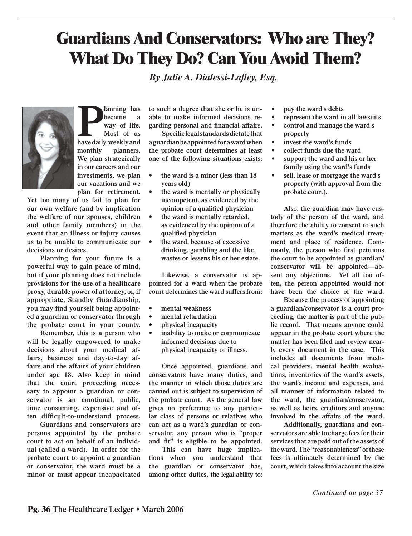## **Guardians And Conservators: Who are They? What Do They Do? Can You Avoid Them?**

*[By Julie A. Dialessi-Lafl ey, Esq.](http://www.bacon-wilson.com/attorney_directory_detail.epl?attorney_id=15)*



**Planning has become a** way of life. Most of us have daily, weekly and **become a way of life. Most of us monthly planners. We plan strategically in our careers and our investments, we plan our vacations and we plan for retirement.** 

**Yet too many of us fail to plan for our own welfare (and by implication the welfare of our spouses, children and other family members) in the event that an illness or injury causes us to be unable to communicate our decisions or desires.**

**Planning for your future is a powerful way to gain peace of mind, but if your planning does not include provisions for the use of a healthcare proxy, durable power of attorney, or, if appropriate, Standby Guardianship,**  you may find yourself being appoint**ed a guardian or conservator through the probate court in your county.**

**Remember, this is a person who will be legally empowered to make decisions about your medical affairs, business and day-to-day affairs and the affairs of your children under age 18. Also keep in mind that the court proceeding necessary to appoint a guardian or conservator is an emotional, public, time consuming, expensive and of**ten difficult-to-understand process.

**Guardians and conservators are persons appointed by the probate court to act on behalf of an individual (called a ward). In order for the probate court to appoint a guardian or conservator, the ward must be a minor or must appear incapacitated**  **to such a degree that she or he is unable to make informed decisions re**earding personal and financial affairs.

**Specific legal standards dictate that a guardian be appointed for a ward when the probate court determines at least one of the following situations exists:**

- **the ward is a minor (less than 18 years old) •**
- **the ward is mentally or physically incompetent, as evidenced by the opinion of a qualified physician •**
- **the ward is mentally retarded, as evidenced by the opinion of a**  qualified physician **•**
- **the ward, because of excessive drinking, gambling and the like, wastes or lessens his or her estate. •**

**Likewise, a conservator is appointed for a ward when the probate court determines the ward suffers from:**

- **mental weakness •**
- **mental retardation •**
- **physical incapacity •**
- **inability to make or communicate informed decisions due to physical incapacity or illness. •**

**Once appointed, guardians and conservators have many duties, and the manner in which those duties are carried out is subject to supervision of the probate court. As the general law gives no preference to any particular class of persons or relatives who can act as a ward's guardian or conservator, any person who is "proper**  and fit" is eligible to be appointed.

**This can have huge implications when you understand that the guardian or conservator has, among other duties, the legal ability to:**

**pay the ward's debts •**

**•**

- **represent the ward in all lawsuits**
- **control and manage the ward's property •**
- **invest the ward's funds •**
- **collect funds due the ward •**
- **support the ward and his or her family using the ward's funds •**
- **sell, lease or mortgage the ward's property (with approval from the probate court). •**

**Also, the guardian may have custody of the person of the ward, and therefore the ability to consent to such matters as the ward's medical treatment and place of residence. Com**monly, the person who first petitions **the court to be appointed as guardian/ conservator will be appointed—absent any objections. Yet all too often, the person appointed would not have been the choice of the ward.**

**Because the process of appointing a guardian/conservator is a court proceeding, the matter is part of the public record. That means anyone could appear in the probate court where the**  matter has been filed and review near**ly every document in the case. This includes all documents from medical providers, mental health evaluations, inventories of the ward's assets, the ward's income and expenses, and all manner of information related to the ward, the guardian/conservator, as well as heirs, creditors and anyone involved in the affairs of the ward.** 

**Additionally, guardians and conservators are able to charge fees for their services that are paid out of the assets of the ward. The "reasonableness" of these fees is ultimately determined by the court, which takes into account the size**